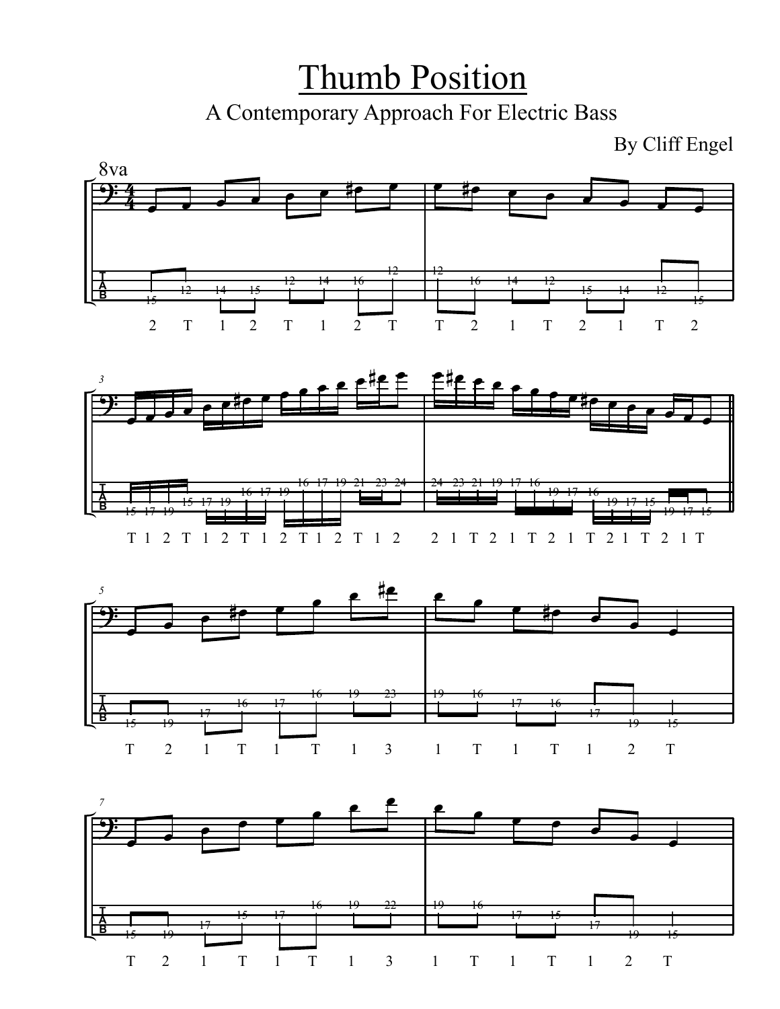Thumb Position A Contemporary Approach For Electric Bass

By Cliff Engel







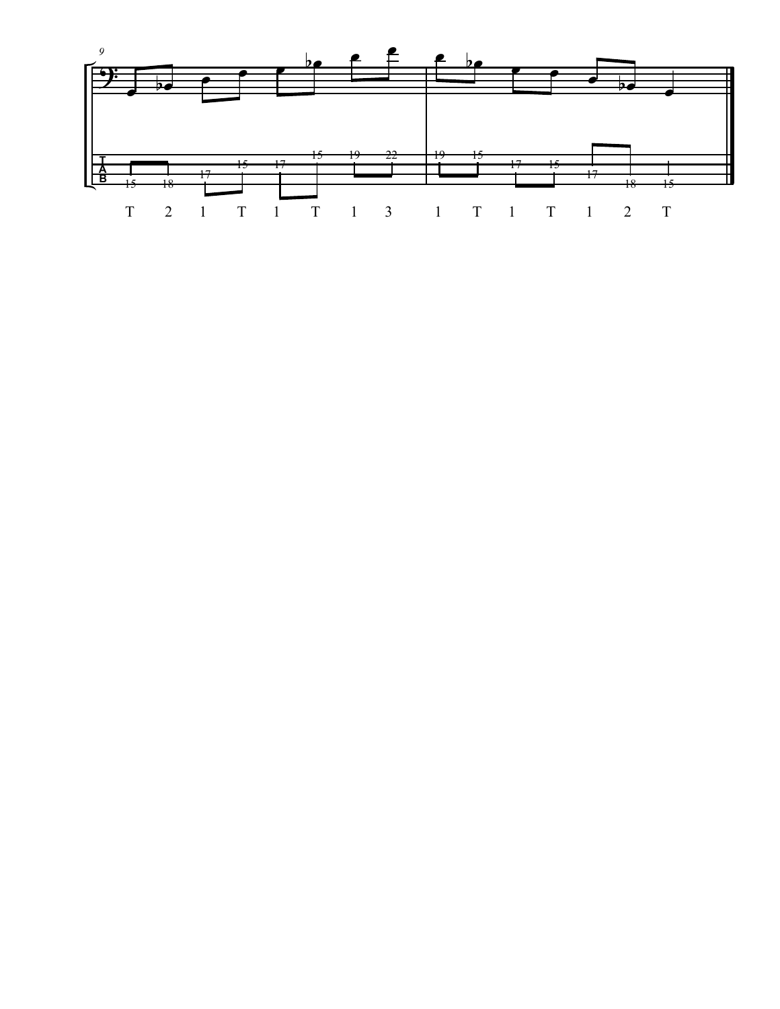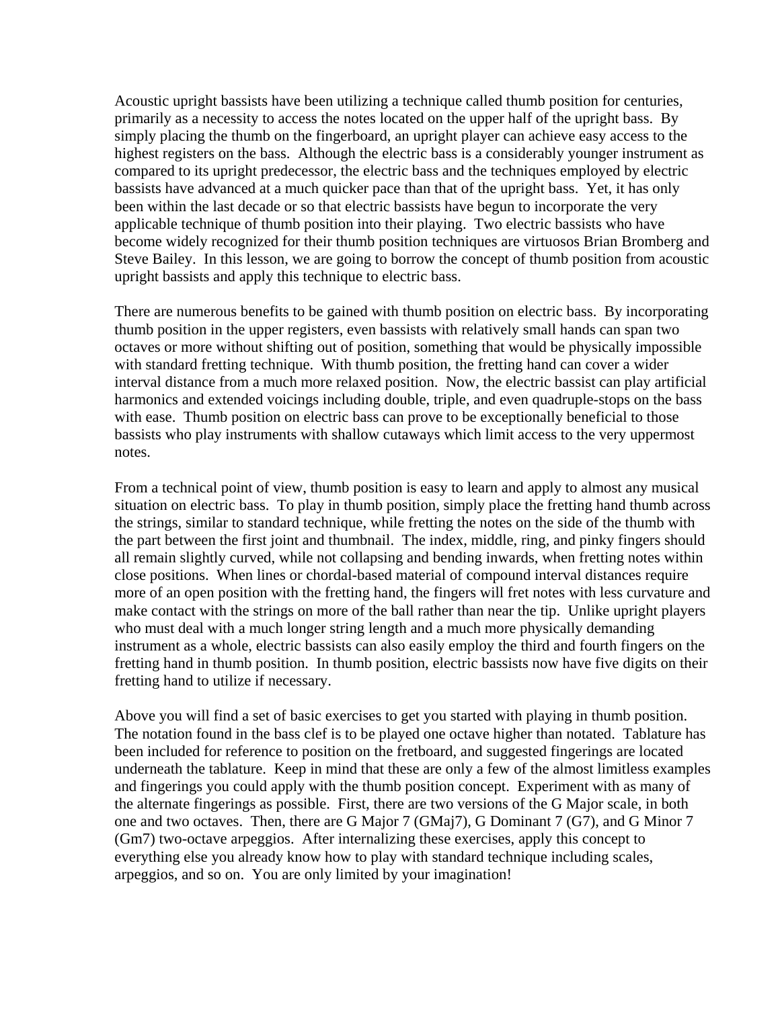Acoustic upright bassists have been utilizing a technique called thumb position for centuries, primarily as a necessity to access the notes located on the upper half of the upright bass. By simply placing the thumb on the fingerboard, an upright player can achieve easy access to the highest registers on the bass. Although the electric bass is a considerably younger instrument as compared to its upright predecessor, the electric bass and the techniques employed by electric bassists have advanced at a much quicker pace than that of the upright bass. Yet, it has only been within the last decade or so that electric bassists have begun to incorporate the very applicable technique of thumb position into their playing. Two electric bassists who have become widely recognized for their thumb position techniques are virtuosos Brian Bromberg and Steve Bailey. In this lesson, we are going to borrow the concept of thumb position from acoustic upright bassists and apply this technique to electric bass.

There are numerous benefits to be gained with thumb position on electric bass. By incorporating thumb position in the upper registers, even bassists with relatively small hands can span two octaves or more without shifting out of position, something that would be physically impossible with standard fretting technique. With thumb position, the fretting hand can cover a wider interval distance from a much more relaxed position. Now, the electric bassist can play artificial harmonics and extended voicings including double, triple, and even quadruple-stops on the bass with ease. Thumb position on electric bass can prove to be exceptionally beneficial to those bassists who play instruments with shallow cutaways which limit access to the very uppermost notes.

From a technical point of view, thumb position is easy to learn and apply to almost any musical situation on electric bass. To play in thumb position, simply place the fretting hand thumb across the strings, similar to standard technique, while fretting the notes on the side of the thumb with the part between the first joint and thumbnail. The index, middle, ring, and pinky fingers should all remain slightly curved, while not collapsing and bending inwards, when fretting notes within close positions. When lines or chordal-based material of compound interval distances require more of an open position with the fretting hand, the fingers will fret notes with less curvature and make contact with the strings on more of the ball rather than near the tip. Unlike upright players who must deal with a much longer string length and a much more physically demanding instrument as a whole, electric bassists can also easily employ the third and fourth fingers on the fretting hand in thumb position. In thumb position, electric bassists now have five digits on their fretting hand to utilize if necessary.

Above you will find a set of basic exercises to get you started with playing in thumb position. The notation found in the bass clef is to be played one octave higher than notated. Tablature has been included for reference to position on the fretboard, and suggested fingerings are located underneath the tablature. Keep in mind that these are only a few of the almost limitless examples and fingerings you could apply with the thumb position concept. Experiment with as many of the alternate fingerings as possible. First, there are two versions of the G Major scale, in both one and two octaves. Then, there are G Major 7 (GMaj7), G Dominant 7 (G7), and G Minor 7 (Gm7) two-octave arpeggios. After internalizing these exercises, apply this concept to everything else you already know how to play with standard technique including scales, arpeggios, and so on. You are only limited by your imagination!